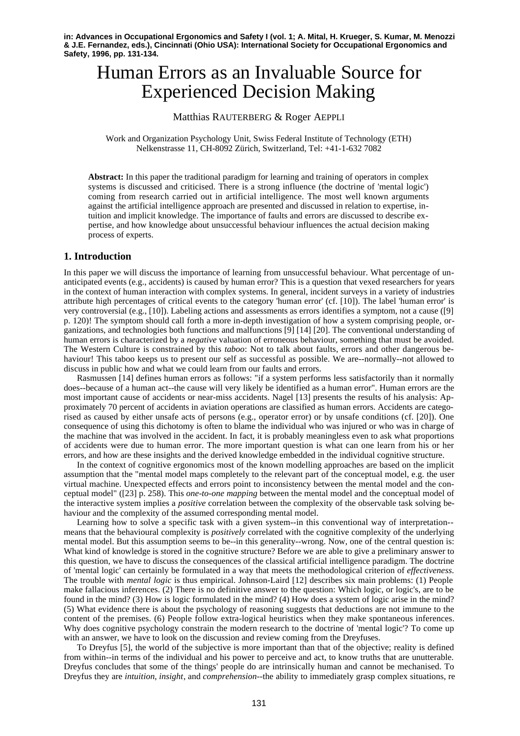**in: Advances in Occupational Ergonomics and Safety I (vol. 1; A. Mital, H. Krueger, S. Kumar, M. Menozzi & J.E. Fernandez, eds.), Cincinnati (Ohio USA): International Society for Occupational Ergonomics and Safety, 1996, pp. 131-134.**

# Human Errors as an Invaluable Source for Experienced Decision Making

# Matthias RAUTERBERG & Roger AEPPLI

Work and Organization Psychology Unit, Swiss Federal Institute of Technology (ETH) Nelkenstrasse 11, CH-8092 Zürich, Switzerland, Tel: +41-1-632 7082

**Abstract:** In this paper the traditional paradigm for learning and training of operators in complex systems is discussed and criticised. There is a strong influence (the doctrine of 'mental logic') coming from research carried out in artificial intelligence. The most well known arguments against the artificial intelligence approach are presented and discussed in relation to expertise, intuition and implicit knowledge. The importance of faults and errors are discussed to describe expertise, and how knowledge about unsuccessful behaviour influences the actual decision making process of experts.

# **1. Introduction**

In this paper we will discuss the importance of learning from unsuccessful behaviour. What percentage of unanticipated events (e.g., accidents) is caused by human error? This is a question that vexed researchers for years in the context of human interaction with complex systems. In general, incident surveys in a variety of industries attribute high percentages of critical events to the category 'human error' (cf. [10]). The label 'human error' is very controversial (e.g., [10]). Labeling actions and assessments as errors identifies a symptom, not a cause ([9] p. 120)! The symptom should call forth a more in-depth investigation of how a system comprising people, organizations, and technologies both functions and malfunctions [9] [14] [20]. The conventional understanding of human errors is characterized by a *negative* valuation of erroneous behaviour, something that must be avoided. The Western Culture is constrained by this *taboo*: Not to talk about faults, errors and other dangerous behaviour! This taboo keeps us to present our self as successful as possible. We are--normally--not allowed to discuss in public how and what we could learn from our faults and errors.

Rasmussen [14] defines human errors as follows: "if a system performs less satisfactorily than it normally does--because of a human act--the cause will very likely be identified as a human error". Human errors are the most important cause of accidents or near-miss accidents. Nagel [13] presents the results of his analysis: Approximately 70 percent of accidents in aviation operations are classified as human errors. Accidents are categorised as caused by either unsafe acts of persons (e.g., operator error) or by unsafe conditions (cf. [20]). One consequence of using this dichotomy is often to blame the individual who was injured or who was in charge of the machine that was involved in the accident. In fact, it is probably meaningless even to ask what proportions of accidents were due to human error. The more important question is what can one learn from his or her errors, and how are these insights and the derived knowledge embedded in the individual cognitive structure.

In the context of cognitive ergonomics most of the known modelling approaches are based on the implicit assumption that the "mental model maps completely to the relevant part of the conceptual model, e.g. the user virtual machine. Unexpected effects and errors point to inconsistency between the mental model and the conceptual model" ([23] p. 258). This *one-to-one mapping* between the mental model and the conceptual model of the interactive system implies a *positive* correlation between the complexity of the observable task solving behaviour and the complexity of the assumed corresponding mental model.

Learning how to solve a specific task with a given system--in this conventional way of interpretation- means that the behavioural complexity is *positively* correlated with the cognitive complexity of the underlying mental model. But this assumption seems to be--in this generality--wrong. Now, one of the central question is: What kind of knowledge is stored in the cognitive structure? Before we are able to give a preliminary answer to this question, we have to discuss the consequences of the classical artificial intelligence paradigm. The doctrine of 'mental logic' can certainly be formulated in a way that meets the methodological criterion of *effectiveness*. The trouble with *mental logic* is thus empirical. Johnson-Laird [12] describes six main problems: (1) People make fallacious inferences. (2) There is no definitive answer to the question: Which logic, or logic's, are to be found in the mind? (3) How is logic formulated in the mind? (4) How does a system of logic arise in the mind? (5) What evidence there is about the psychology of reasoning suggests that deductions are not immune to the content of the premises. (6) People follow extra-logical heuristics when they make spontaneous inferences. Why does cognitive psychology constrain the modern research to the doctrine of 'mental logic'? To come up with an answer, we have to look on the discussion and review coming from the Dreyfuses.

To Dreyfus [5], the world of the subjective is more important than that of the objective; reality is defined from within--in terms of the individual and his power to perceive and act, to know truths that are unutterable. Dreyfus concludes that some of the things' people do are intrinsically human and cannot be mechanised. To Dreyfus they are *intuition*, *insight*, and *comprehension*--the ability to immediately grasp complex situations, re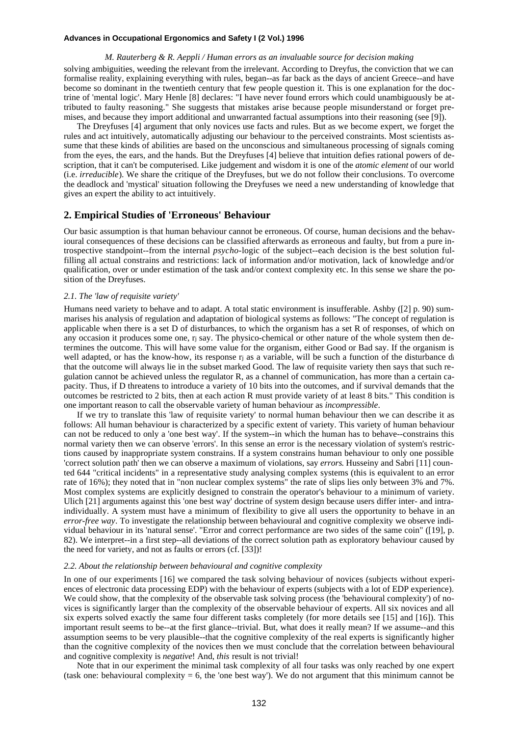#### **Advances in Occupational Ergonomics and Safety I (2 Vol.) 1996**

*M. Rauterberg & R. Aeppli / Human errors as an invaluable source for decision making* solving ambiguities, weeding the relevant from the irrelevant. According to Dreyfus, the conviction that we can formalise reality, explaining everything with rules, began--as far back as the days of ancient Greece--and have become so dominant in the twentieth century that few people question it. This is one explanation for the doctrine of 'mental logic'. Mary Henle [8] declares: "I have never found errors which could unambiguously be attributed to faulty reasoning." She suggests that mistakes arise because people misunderstand or forget premises, and because they import additional and unwarranted factual assumptions into their reasoning (see [9]).

The Dreyfuses [4] argument that only novices use facts and rules. But as we become expert, we forget the rules and act intuitively, automatically adjusting our behaviour to the perceived constraints. Most scientists assume that these kinds of abilities are based on the unconscious and simultaneous processing of signals coming from the eyes, the ears, and the hands. But the Dreyfuses [4] believe that intuition defies rational powers of description, that it can't be computerised. Like judgement and wisdom it is one of the *atomic element* of our world (i.e. *irreducible*). We share the critique of the Dreyfuses, but we do not follow their conclusions. To overcome the deadlock and 'mystical' situation following the Dreyfuses we need a new understanding of knowledge that gives an expert the ability to act intuitively.

# **2. Empirical Studies of 'Erroneous' Behaviour**

Our basic assumption is that human behaviour cannot be erroneous. Of course, human decisions and the behavioural consequences of these decisions can be classified afterwards as erroneous and faulty, but from a pure introspective standpoint--from the internal *psycho-*logic of the subject--each decision is the best solution fulfilling all actual constrains and restrictions: lack of information and/or motivation, lack of knowledge and/or qualification, over or under estimation of the task and/or context complexity etc. In this sense we share the position of the Dreyfuses.

#### *2.1. The 'law of requisite variety'*

Humans need variety to behave and to adapt. A total static environment is insufferable. Ashby ([2] p. 90) summarises his analysis of regulation and adaptation of biological systems as follows: "The concept of regulation is applicable when there is a set D of disturbances, to which the organism has a set R of responses, of which on any occasion it produces some one, rj say. The physico-chemical or other nature of the whole system then determines the outcome. This will have some value for the organism, either Good or Bad say. If the organism is well adapted, or has the know-how, its response rj as a variable, will be such a function of the disturbance di that the outcome will always lie in the subset marked Good. The law of requisite variety then says that such regulation cannot be achieved unless the regulator R, as a channel of communication, has more than a certain capacity. Thus, if D threatens to introduce a variety of 10 bits into the outcomes, and if survival demands that the outcomes be restricted to 2 bits, then at each action R must provide variety of at least 8 bits." This condition is one important reason to call the observable variety of human behaviour as *incompressible*.

If we try to translate this 'law of requisite variety' to normal human behaviour then we can describe it as follows: All human behaviour is characterized by a specific extent of variety. This variety of human behaviour can not be reduced to only a 'one best way'. If the system--in which the human has to behave--constrains this normal variety then we can observe 'errors'. In this sense an error is the necessary violation of system's restrictions caused by inappropriate system constrains. If a system constrains human behaviour to only one possible 'correct solution path' then we can observe a maximum of violations, say *errors*. Husseiny and Sabri [11] counted 644 "critical incidents" in a representative study analysing complex systems (this is equivalent to an error rate of 16%); they noted that in "non nuclear complex systems" the rate of slips lies only between 3% and 7%. Most complex systems are explicitly designed to constrain the operator's behaviour to a minimum of variety. Ulich [21] arguments against this 'one best way' doctrine of system design because users differ inter- and intraindividually. A system must have a minimum of flexibility to give all users the opportunity to behave in an *error-free way*. To investigate the relationship between behavioural and cognitive complexity we observe individual behaviour in its 'natural sense'. "Error and correct performance are two sides of the same coin" ([19], p. 82). We interpret--in a first step--all deviations of the correct solution path as exploratory behaviour caused by the need for variety, and not as faults or errors (cf. [33])!

#### *2.2. About the relationship between behavioural and cognitive complexity*

In one of our experiments [16] we compared the task solving behaviour of novices (subjects without experiences of electronic data processing EDP) with the behaviour of experts (subjects with a lot of EDP experience). We could show, that the complexity of the observable task solving process (the 'behavioural complexity') of novices is significantly larger than the complexity of the observable behaviour of experts. All six novices and all six experts solved exactly the same four different tasks completely (for more details see [15] and [16]). This important result seems to be--at the first glance--trivial. But, what does it really mean? If we assume--and this assumption seems to be very plausible--that the cognitive complexity of the real experts is significantly higher than the cognitive complexity of the novices then we must conclude that the correlation between behavioural and cognitive complexity is *negative*! And, *this* result is not trivial!

Note that in our experiment the minimal task complexity of all four tasks was only reached by one expert (task one: behavioural complexity  $= 6$ , the 'one best way'). We do not argument that this minimum cannot be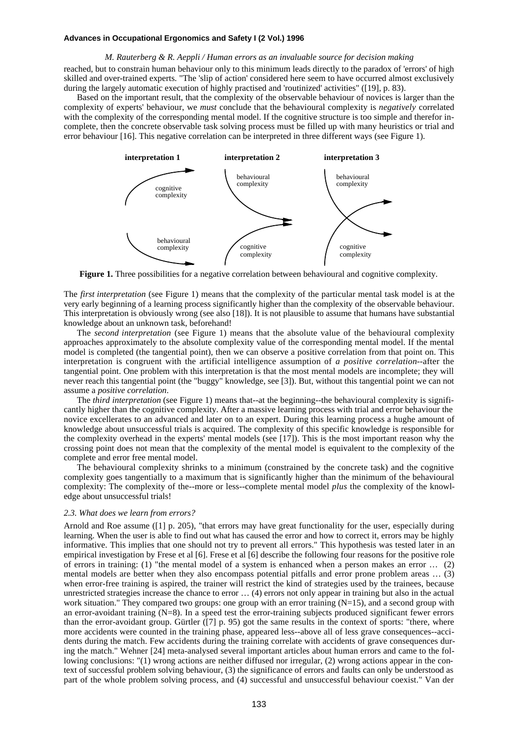#### **Advances in Occupational Ergonomics and Safety I (2 Vol.) 1996**

#### *M. Rauterberg & R. Aeppli / Human errors as an invaluable source for decision making*

reached, but to constrain human behaviour only to this minimum leads directly to the paradox of 'errors' of high skilled and over-trained experts. "The 'slip of action' considered here seem to have occurred almost exclusively during the largely automatic execution of highly practised and 'routinized' activities" ([19], p. 83).

Based on the important result, that the complexity of the observable behaviour of novices is larger than the complexity of experts' behaviour, we *must* conclude that the behavioural complexity is *negatively* correlated with the complexity of the corresponding mental model. If the cognitive structure is too simple and therefor incomplete, then the concrete observable task solving process must be filled up with many heuristics or trial and error behaviour [16]. This negative correlation can be interpreted in three different ways (see Figure 1).



**Figure 1.** Three possibilities for a negative correlation between behavioural and cognitive complexity.

The *first interpretation* (see Figure 1) means that the complexity of the particular mental task model is at the very early beginning of a learning process significantly higher than the complexity of the observable behaviour. This interpretation is obviously wrong (see also [18]). It is not plausible to assume that humans have substantial knowledge about an unknown task, beforehand!

The *second interpretation* (see Figure 1) means that the absolute value of the behavioural complexity approaches approximately to the absolute complexity value of the corresponding mental model. If the mental model is completed (the tangential point), then we can observe a positive correlation from that point on. This interpretation is congruent with the artificial intelligence assumption of *a positive correlation*--after the tangential point. One problem with this interpretation is that the most mental models are incomplete; they will never reach this tangential point (the "buggy" knowledge, see [3]). But, without this tangential point we can not assume a *positive correlation*.

The *third interpretation* (see Figure 1) means that--at the beginning--the behavioural complexity is significantly higher than the cognitive complexity. After a massive learning process with trial and error behaviour the novice excellerates to an advanced and later on to an expert. During this learning process a hughe amount of knowledge about unsuccessful trials is acquired. The complexity of this specific knowledge is responsible for the complexity overhead in the experts' mental models (see [17]). This is the most important reason why the crossing point does not mean that the complexity of the mental model is equivalent to the complexity of the complete and error free mental model.

The behavioural complexity shrinks to a minimum (constrained by the concrete task) and the cognitive complexity goes tangentially to a maximum that is significantly higher than the minimum of the behavioural complexity: The complexity of the--more or less--complete mental model *plus* the complexity of the knowledge about unsuccessful trials!

#### *2.3. What does we learn from errors?*

Arnold and Roe assume ([1] p. 205), "that errors may have great functionality for the user, especially during learning. When the user is able to find out what has caused the error and how to correct it, errors may be highly informative. This implies that one should not try to prevent all errors." This hypothesis was tested later in an empirical investigation by Frese et al [6]. Frese et al [6] describe the following four reasons for the positive role of errors in training: (1) "the mental model of a system is enhanced when a person makes an error … (2) mental models are better when they also encompass potential pitfalls and error prone problem areas … (3) when error-free training is aspired, the trainer will restrict the kind of strategies used by the trainees, because unrestricted strategies increase the chance to error … (4) errors not only appear in training but also in the actual work situation." They compared two groups: one group with an error training (N=15), and a second group with an error-avoidant training (N=8). In a speed test the error-training subjects produced significant fewer errors than the error-avoidant group. Gürtler ([7] p. 95) got the same results in the context of sports: "there, where more accidents were counted in the training phase, appeared less--above all of less grave consequences--accidents during the match. Few accidents during the training correlate with accidents of grave consequences during the match." Wehner [24] meta-analysed several important articles about human errors and came to the following conclusions: "(1) wrong actions are neither diffused nor irregular, (2) wrong actions appear in the context of successful problem solving behaviour, (3) the significance of errors and faults can only be understood as part of the whole problem solving process, and (4) successful and unsuccessful behaviour coexist." Van der